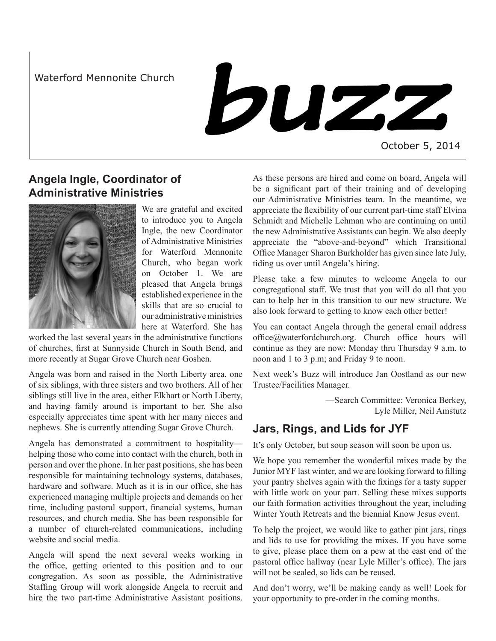Waterford Mennonite Church

buzz

October 5, 2014

# **Angela Ingle, Coordinator of Administrative Ministries**



We are grateful and excited to introduce you to Angela Ingle, the new Coordinator of Administrative Ministries for Waterford Mennonite Church, who began work on October 1. We are pleased that Angela brings established experience in the skills that are so crucial to our administrative ministries here at Waterford. She has

worked the last several years in the administrative functions of churches, first at Sunnyside Church in South Bend, and more recently at Sugar Grove Church near Goshen.

Angela was born and raised in the North Liberty area, one of six siblings, with three sisters and two brothers. All of her siblings still live in the area, either Elkhart or North Liberty, and having family around is important to her. She also especially appreciates time spent with her many nieces and nephews. She is currently attending Sugar Grove Church.

Angela has demonstrated a commitment to hospitality helping those who come into contact with the church, both in person and over the phone. In her past positions, she has been responsible for maintaining technology systems, databases, hardware and software. Much as it is in our office, she has experienced managing multiple projects and demands on her time, including pastoral support, financial systems, human resources, and church media. She has been responsible for a number of church-related communications, including website and social media.

Angela will spend the next several weeks working in the office, getting oriented to this position and to our congregation. As soon as possible, the Administrative Staffing Group will work alongside Angela to recruit and hire the two part-time Administrative Assistant positions.

As these persons are hired and come on board, Angela will be a significant part of their training and of developing our Administrative Ministries team. In the meantime, we appreciate the flexibility of our current part-time staff Elvina Schmidt and Michelle Lehman who are continuing on until the new Administrative Assistants can begin. We also deeply appreciate the "above-and-beyond" which Transitional Office Manager Sharon Burkholder has given since late July, tiding us over until Angela's hiring.

Please take a few minutes to welcome Angela to our congregational staff. We trust that you will do all that you can to help her in this transition to our new structure. We also look forward to getting to know each other better!

You can contact Angela through the general email address office@waterfordchurch.org. Church office hours will continue as they are now: Monday thru Thursday 9 a.m. to noon and 1 to 3 p.m; and Friday 9 to noon.

Next week's Buzz will introduce Jan Oostland as our new Trustee/Facilities Manager.

> —Search Committee: Veronica Berkey, Lyle Miller, Neil Amstutz

# **Jars, Rings, and Lids for JYF**

It's only October, but soup season will soon be upon us.

We hope you remember the wonderful mixes made by the Junior MYF last winter, and we are looking forward to filling your pantry shelves again with the fixings for a tasty supper with little work on your part. Selling these mixes supports our faith formation activities throughout the year, including Winter Youth Retreats and the biennial Know Jesus event.

To help the project, we would like to gather pint jars, rings and lids to use for providing the mixes. If you have some to give, please place them on a pew at the east end of the pastoral office hallway (near Lyle Miller's office). The jars will not be sealed, so lids can be reused.

And don't worry, we'll be making candy as well! Look for your opportunity to pre-order in the coming months.